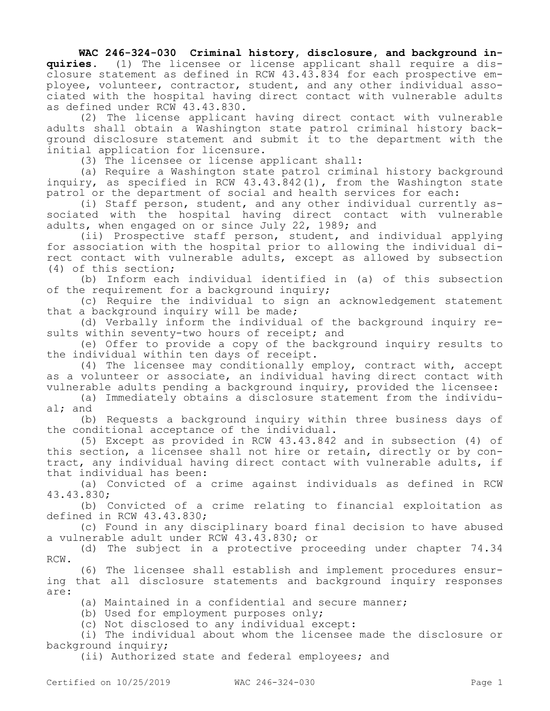## **WAC 246-324-030 Criminal history, disclosure, and background in-**

**quiries.** (1) The licensee or license applicant shall require a disclosure statement as defined in RCW 43.43.834 for each prospective employee, volunteer, contractor, student, and any other individual associated with the hospital having direct contact with vulnerable adults as defined under RCW 43.43.830.

(2) The license applicant having direct contact with vulnerable adults shall obtain a Washington state patrol criminal history background disclosure statement and submit it to the department with the initial application for licensure.

(3) The licensee or license applicant shall:

(a) Require a Washington state patrol criminal history background inquiry, as specified in RCW 43.43.842(1), from the Washington state patrol or the department of social and health services for each:

(i) Staff person, student, and any other individual currently associated with the hospital having direct contact with vulnerable adults, when engaged on or since July 22, 1989; and

(ii) Prospective staff person, student, and individual applying for association with the hospital prior to allowing the individual direct contact with vulnerable adults, except as allowed by subsection (4) of this section;

(b) Inform each individual identified in (a) of this subsection of the requirement for a background inquiry;

(c) Require the individual to sign an acknowledgement statement that a background inquiry will be made;

(d) Verbally inform the individual of the background inquiry results within seventy-two hours of receipt; and

(e) Offer to provide a copy of the background inquiry results to the individual within ten days of receipt.

(4) The licensee may conditionally employ, contract with, accept as a volunteer or associate, an individual having direct contact with vulnerable adults pending a background inquiry, provided the licensee:

(a) Immediately obtains a disclosure statement from the individual; and

(b) Requests a background inquiry within three business days of the conditional acceptance of the individual.

(5) Except as provided in RCW 43.43.842 and in subsection (4) of this section, a licensee shall not hire or retain, directly or by contract, any individual having direct contact with vulnerable adults, if that individual has been:

(a) Convicted of a crime against individuals as defined in RCW 43.43.830;

(b) Convicted of a crime relating to financial exploitation as defined in RCW 43.43.830;

(c) Found in any disciplinary board final decision to have abused a vulnerable adult under RCW 43.43.830; or

(d) The subject in a protective proceeding under chapter 74.34 RCW.

(6) The licensee shall establish and implement procedures ensuring that all disclosure statements and background inquiry responses are:

(a) Maintained in a confidential and secure manner;

(b) Used for employment purposes only;

(c) Not disclosed to any individual except:

(i) The individual about whom the licensee made the disclosure or background inquiry;

(ii) Authorized state and federal employees; and